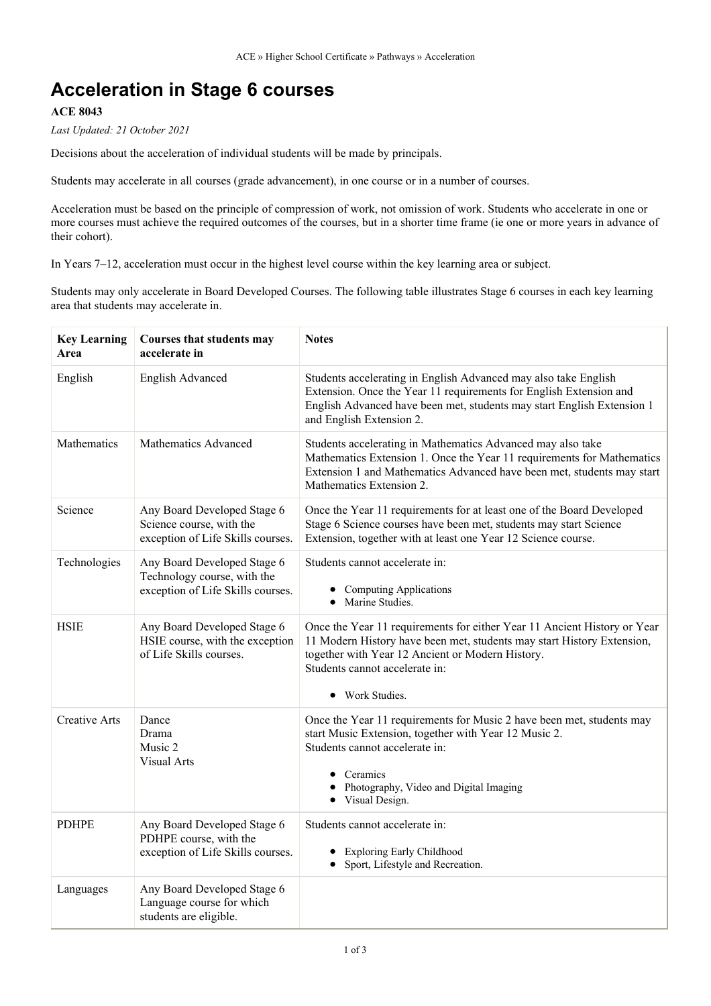# **Acceleration in Stage 6 courses**

### **ACE 8043**

*Last Updated: 21 October 2021*

Decisions about the acceleration of individual students will be made by principals.

Students may accelerate in all courses (grade advancement), in one course or in a number of courses.

Acceleration must be based on the principle of compression of work, not omission of work. Students who accelerate in one or more courses must achieve the required outcomes of the courses, but in a shorter time frame (ie one or more years in advance of their cohort).

In Years 7–12, acceleration must occur in the highest level course within the key learning area or subject.

Students may only accelerate in Board Developed Courses. The following table illustrates Stage 6 courses in each key learning area that students may accelerate in.

| <b>Key Learning</b><br>Area | Courses that students may<br>accelerate in                                                      | <b>Notes</b>                                                                                                                                                                                                                                                |
|-----------------------------|-------------------------------------------------------------------------------------------------|-------------------------------------------------------------------------------------------------------------------------------------------------------------------------------------------------------------------------------------------------------------|
| English                     | <b>English Advanced</b>                                                                         | Students accelerating in English Advanced may also take English<br>Extension. Once the Year 11 requirements for English Extension and<br>English Advanced have been met, students may start English Extension 1<br>and English Extension 2.                 |
| <b>Mathematics</b>          | Mathematics Advanced                                                                            | Students accelerating in Mathematics Advanced may also take<br>Mathematics Extension 1. Once the Year 11 requirements for Mathematics<br>Extension 1 and Mathematics Advanced have been met, students may start<br>Mathematics Extension 2.                 |
| Science                     | Any Board Developed Stage 6<br>Science course, with the<br>exception of Life Skills courses.    | Once the Year 11 requirements for at least one of the Board Developed<br>Stage 6 Science courses have been met, students may start Science<br>Extension, together with at least one Year 12 Science course.                                                 |
| Technologies                | Any Board Developed Stage 6<br>Technology course, with the<br>exception of Life Skills courses. | Students cannot accelerate in:<br><b>Computing Applications</b><br>Marine Studies.                                                                                                                                                                          |
| <b>HSIE</b>                 | Any Board Developed Stage 6<br>HSIE course, with the exception<br>of Life Skills courses.       | Once the Year 11 requirements for either Year 11 Ancient History or Year<br>11 Modern History have been met, students may start History Extension,<br>together with Year 12 Ancient or Modern History.<br>Students cannot accelerate in:<br>• Work Studies. |
| Creative Arts               | Dance<br>Drama<br>Music 2<br><b>Visual Arts</b>                                                 | Once the Year 11 requirements for Music 2 have been met, students may<br>start Music Extension, together with Year 12 Music 2.<br>Students cannot accelerate in:<br>Ceramics<br>Photography, Video and Digital Imaging<br>Visual Design.                    |
| <b>PDHPE</b>                | Any Board Developed Stage 6<br>PDHPE course, with the<br>exception of Life Skills courses.      | Students cannot accelerate in:<br><b>Exploring Early Childhood</b><br>Sport, Lifestyle and Recreation.                                                                                                                                                      |
| Languages                   | Any Board Developed Stage 6<br>Language course for which<br>students are eligible.              |                                                                                                                                                                                                                                                             |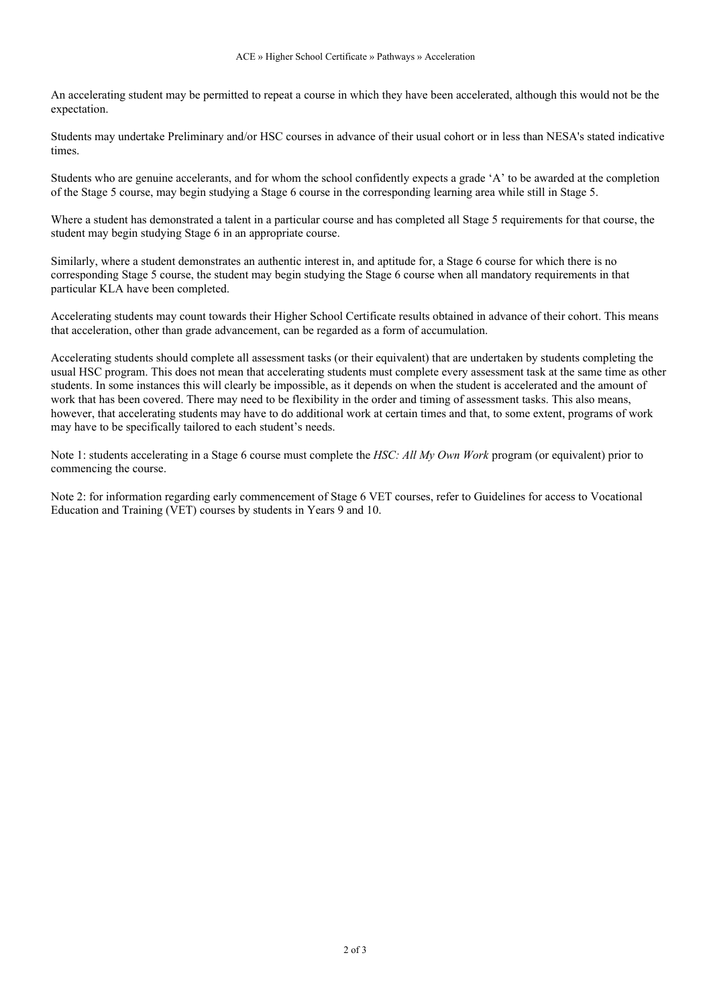An accelerating student may be permitted to repeat a course in which they have been accelerated, although this would not be the expectation.

Students may undertake Preliminary and/or HSC courses in advance of their usual cohort or in less than NESA's stated indicative times.

Students who are genuine accelerants, and for whom the school confidently expects a grade 'A' to be awarded at the completion of the Stage 5 course, may begin studying a Stage 6 course in the corresponding learning area while still in Stage 5.

Where a student has demonstrated a talent in a particular course and has completed all Stage 5 requirements for that course, the student may begin studying Stage 6 in an appropriate course.

Similarly, where a student demonstrates an authentic interest in, and aptitude for, a Stage 6 course for which there is no corresponding Stage 5 course, the student may begin studying the Stage 6 course when all mandatory requirements in that particular KLA have been completed.

Accelerating students may count towards their Higher School Certificate results obtained in advance of their cohort. This means that acceleration, other than grade advancement, can be regarded as a form of accumulation.

Accelerating students should complete all assessment tasks (or their equivalent) that are undertaken by students completing the usual HSC program. This does not mean that accelerating students must complete every assessment task at the same time as other students. In some instances this will clearly be impossible, as it depends on when the student is accelerated and the amount of work that has been covered. There may need to be flexibility in the order and timing of assessment tasks. This also means, however, that accelerating students may have to do additional work at certain times and that, to some extent, programs of work may have to be specifically tailored to each student's needs.

Note 1: students accelerating in a Stage 6 course must complete the *HSC: All My Own Work* program (or equivalent) prior to commencing the course.

Note 2: for information regarding early commencement of Stage 6 VET courses, refer to Guidelines for access to Vocational Education and Training (VET) courses by students in Years 9 and 10.